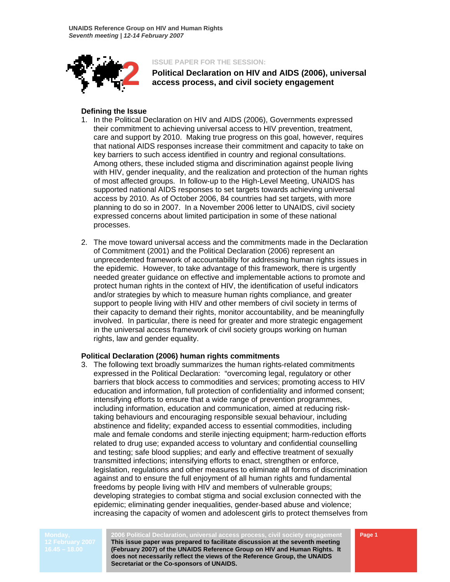

**2** ISSUE PAPER FOR THE SESSION:<br> **2** Political Declaration on HIV a<br>
access process, and civil soc **Political Declaration on HIV and AIDS (2006), universal access process, and civil society engagement** 

## **Defining the Issue**

- 1. In the Political Declaration on HIV and AIDS (2006), Governments expressed their commitment to achieving universal access to HIV prevention, treatment, care and support by 2010. Making true progress on this goal, however, requires that national AIDS responses increase their commitment and capacity to take on key barriers to such access identified in country and regional consultations. Among others, these included stigma and discrimination against people living with HIV, gender inequality, and the realization and protection of the human rights of most affected groups. In follow-up to the High-Level Meeting, UNAIDS has supported national AIDS responses to set targets towards achieving universal access by 2010. As of October 2006, 84 countries had set targets, with more planning to do so in 2007. In a November 2006 letter to UNAIDS, civil society expressed concerns about limited participation in some of these national processes.
- 2. The move toward universal access and the commitments made in the Declaration of Commitment (2001) and the Political Declaration (2006) represent an unprecedented framework of accountability for addressing human rights issues in the epidemic. However, to take advantage of this framework, there is urgently needed greater guidance on effective and implementable actions to promote and protect human rights in the context of HIV, the identification of useful indicators and/or strategies by which to measure human rights compliance, and greater support to people living with HIV and other members of civil society in terms of their capacity to demand their rights, monitor accountability, and be meaningfully involved. In particular, there is need for greater and more strategic engagement in the universal access framework of civil society groups working on human rights, law and gender equality.

# **Political Declaration (2006) human rights commitments**

3. The following text broadly summarizes the human rights-related commitments expressed in the Political Declaration: "overcoming legal, regulatory or other barriers that block access to commodities and services; promoting access to HIV education and information, full protection of confidentiality and informed consent; intensifying efforts to ensure that a wide range of prevention programmes, including information, education and communication, aimed at reducing risktaking behaviours and encouraging responsible sexual behaviour, including abstinence and fidelity; expanded access to essential commodities, including male and female condoms and sterile injecting equipment; harm-reduction efforts related to drug use; expanded access to voluntary and confidential counselling and testing; safe blood supplies; and early and effective treatment of sexually transmitted infections; intensifying efforts to enact, strengthen or enforce, legislation, regulations and other measures to eliminate all forms of discrimination against and to ensure the full enjoyment of all human rights and fundamental freedoms by people living with HIV and members of vulnerable groups; developing strategies to combat stigma and social exclusion connected with the epidemic; eliminating gender inequalities, gender-based abuse and violence; increasing the capacity of women and adolescent girls to protect themselves from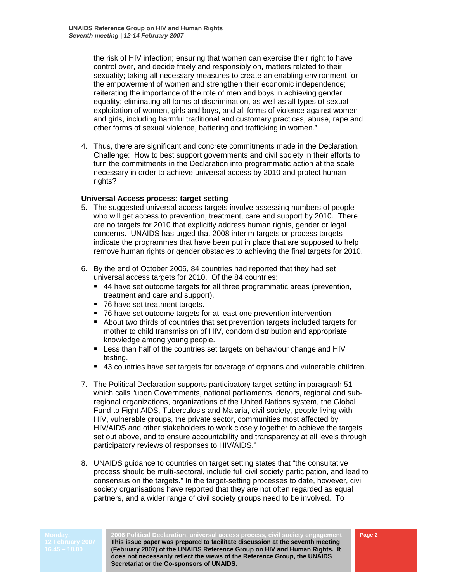the risk of HIV infection; ensuring that women can exercise their right to have control over, and decide freely and responsibly on, matters related to their sexuality; taking all necessary measures to create an enabling environment for the empowerment of women and strengthen their economic independence; reiterating the importance of the role of men and boys in achieving gender equality; eliminating all forms of discrimination, as well as all types of sexual exploitation of women, girls and boys, and all forms of violence against women and girls, including harmful traditional and customary practices, abuse, rape and other forms of sexual violence, battering and trafficking in women."

4. Thus, there are significant and concrete commitments made in the Declaration. Challenge: How to best support governments and civil society in their efforts to turn the commitments in the Declaration into programmatic action at the scale necessary in order to achieve universal access by 2010 and protect human rights?

# **Universal Access process: target setting**

- 5. The suggested universal access targets involve assessing numbers of people who will get access to prevention, treatment, care and support by 2010. There are no targets for 2010 that explicitly address human rights, gender or legal concerns. UNAIDS has urged that 2008 interim targets or process targets indicate the programmes that have been put in place that are supposed to help remove human rights or gender obstacles to achieving the final targets for 2010.
- 6. By the end of October 2006, 84 countries had reported that they had set universal access targets for 2010. Of the 84 countries:
	- 44 have set outcome targets for all three programmatic areas (prevention, treatment and care and support).
	- 76 have set treatment targets.
	- 76 have set outcome targets for at least one prevention intervention.
	- About two thirds of countries that set prevention targets included targets for mother to child transmission of HIV, condom distribution and appropriate knowledge among young people.
	- **EXT** Less than half of the countries set targets on behaviour change and HIV testing.
	- 43 countries have set targets for coverage of orphans and vulnerable children.
- 7. The Political Declaration supports participatory target-setting in paragraph 51 which calls "upon Governments, national parliaments, donors, regional and subregional organizations, organizations of the United Nations system, the Global Fund to Fight AIDS, Tuberculosis and Malaria, civil society, people living with HIV, vulnerable groups, the private sector, communities most affected by HIV/AIDS and other stakeholders to work closely together to achieve the targets set out above, and to ensure accountability and transparency at all levels through participatory reviews of responses to HIV/AIDS."
- 8. UNAIDS guidance to countries on target setting states that "the consultative process should be multi-sectoral, include full civil society participation, and lead to consensus on the targets." In the target-setting processes to date, however, civil society organisations have reported that they are not often regarded as equal partners, and a wider range of civil society groups need to be involved. To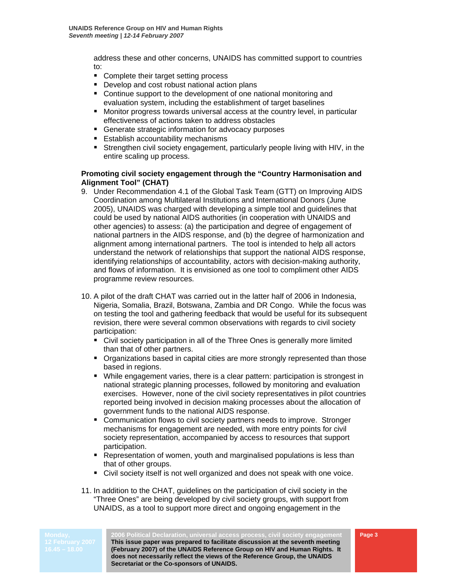address these and other concerns, UNAIDS has committed support to countries to:

- Complete their target setting process
- **Develop and cost robust national action plans**
- Continue support to the development of one national monitoring and evaluation system, including the establishment of target baselines
- Monitor progress towards universal access at the country level, in particular effectiveness of actions taken to address obstacles
- Generate strategic information for advocacy purposes
- **Establish accountability mechanisms**
- Strengthen civil society engagement, particularly people living with HIV, in the entire scaling up process.

# **Promoting civil society engagement through the "Country Harmonisation and Alignment Tool" (CHAT)**

- 9. Under Recommendation 4.1 of the Global Task Team (GTT) on Improving AIDS Coordination among Multilateral Institutions and International Donors (June 2005), UNAIDS was charged with developing a simple tool and guidelines that could be used by national AIDS authorities (in cooperation with UNAIDS and other agencies) to assess: (a) the participation and degree of engagement of national partners in the AIDS response, and (b) the degree of harmonization and alignment among international partners. The tool is intended to help all actors understand the network of relationships that support the national AIDS response, identifying relationships of accountability, actors with decision-making authority, and flows of information. It is envisioned as one tool to compliment other AIDS programme review resources.
- 10. A pilot of the draft CHAT was carried out in the latter half of 2006 in Indonesia, Nigeria, Somalia, Brazil, Botswana, Zambia and DR Congo. While the focus was on testing the tool and gathering feedback that would be useful for its subsequent revision, there were several common observations with regards to civil society participation:
	- Civil society participation in all of the Three Ones is generally more limited than that of other partners.
	- Organizations based in capital cities are more strongly represented than those based in regions.
	- While engagement varies, there is a clear pattern: participation is strongest in national strategic planning processes, followed by monitoring and evaluation exercises. However, none of the civil society representatives in pilot countries reported being involved in decision making processes about the allocation of government funds to the national AIDS response.
	- **EX Communication flows to civil society partners needs to improve. Stronger** mechanisms for engagement are needed, with more entry points for civil society representation, accompanied by access to resources that support participation.
	- **P** Representation of women, youth and marginalised populations is less than that of other groups.
	- Civil society itself is not well organized and does not speak with one voice.
- 11. In addition to the CHAT, guidelines on the participation of civil society in the "Three Ones" are being developed by civil society groups, with support from UNAIDS, as a tool to support more direct and ongoing engagement in the